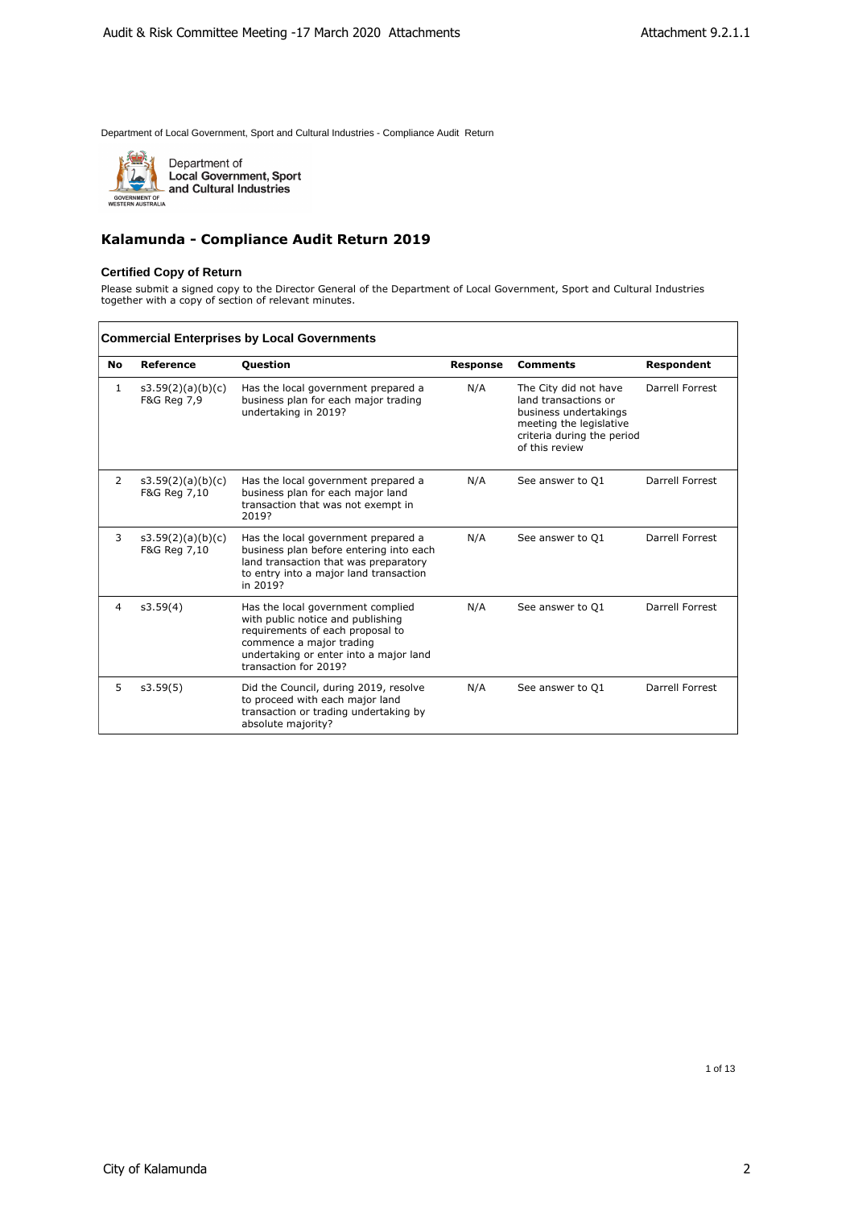

Department of<br>Local Government, Sport<br>and Cultural Industries

## **Kalamunda - Compliance Audit Return 2019**

#### **Certified Copy of Return**

Please submit a signed copy to the Director General of the Department of Local Government, Sport and Cultural Industries together with a copy of section of relevant minutes.

|    | <b>Commercial Enterprises by Local Governments</b> |                                                                                                                                                                                                           |                 |                                                                                                                                                   |                   |  |  |  |
|----|----------------------------------------------------|-----------------------------------------------------------------------------------------------------------------------------------------------------------------------------------------------------------|-----------------|---------------------------------------------------------------------------------------------------------------------------------------------------|-------------------|--|--|--|
| No | <b>Reference</b>                                   | <b>Question</b>                                                                                                                                                                                           | <b>Response</b> | <b>Comments</b>                                                                                                                                   | <b>Respondent</b> |  |  |  |
| 1  | s3.59(2)(a)(b)(c)<br>F&G Reg 7,9                   | Has the local government prepared a<br>business plan for each major trading<br>undertaking in 2019?                                                                                                       | N/A             | The City did not have<br>land transactions or<br>business undertakings<br>meeting the legislative<br>criteria during the period<br>of this review | Darrell Forrest   |  |  |  |
| 2  | s3.59(2)(a)(b)(c)<br>F&G Reg 7,10                  | Has the local government prepared a<br>business plan for each major land<br>transaction that was not exempt in<br>2019?                                                                                   | N/A             | See answer to Q1                                                                                                                                  | Darrell Forrest   |  |  |  |
| 3  | s3.59(2)(a)(b)(c)<br>F&G Reg 7,10                  | Has the local government prepared a<br>business plan before entering into each<br>land transaction that was preparatory<br>to entry into a major land transaction<br>in 2019?                             | N/A             | See answer to Q1                                                                                                                                  | Darrell Forrest   |  |  |  |
| 4  | s3.59(4)                                           | Has the local government complied<br>with public notice and publishing<br>requirements of each proposal to<br>commence a major trading<br>undertaking or enter into a major land<br>transaction for 2019? | N/A             | See answer to Q1                                                                                                                                  | Darrell Forrest   |  |  |  |
| 5  | s3.59(5)                                           | Did the Council, during 2019, resolve<br>to proceed with each major land<br>transaction or trading undertaking by<br>absolute majority?                                                                   | N/A             | See answer to O1                                                                                                                                  | Darrell Forrest   |  |  |  |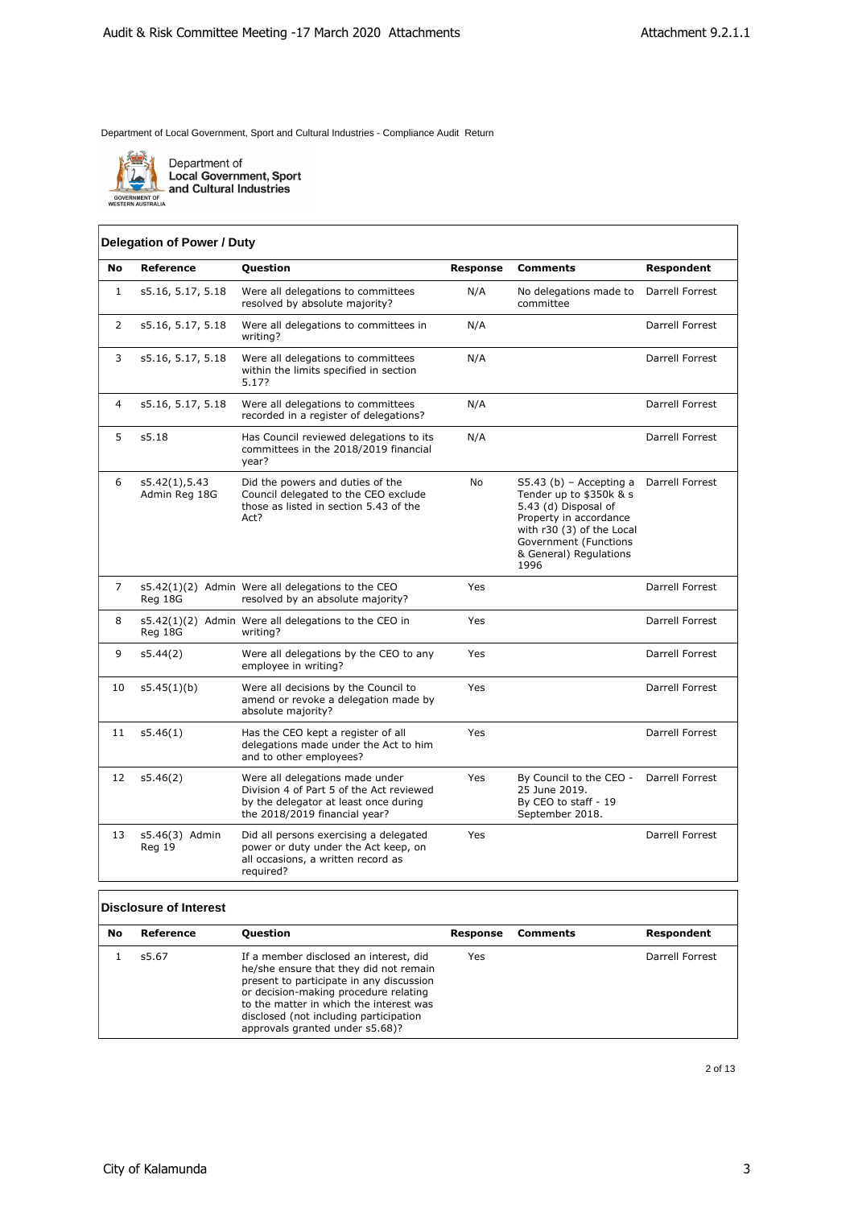

Department of<br>Local Government, Sport<br>and Cultural Industries

## **Delegation of Power / Duty**

| No             | <b>Reference</b>               | Question                                                                                                                                              | <b>Response</b> | <b>Comments</b>                                                                                                                                                                                | Respondent      |
|----------------|--------------------------------|-------------------------------------------------------------------------------------------------------------------------------------------------------|-----------------|------------------------------------------------------------------------------------------------------------------------------------------------------------------------------------------------|-----------------|
| $\mathbf{1}$   | s5.16, 5.17, 5.18              | Were all delegations to committees<br>resolved by absolute majority?                                                                                  | N/A             | No delegations made to<br>committee                                                                                                                                                            | Darrell Forrest |
| $\overline{2}$ | s5.16, 5.17, 5.18              | Were all delegations to committees in<br>writing?                                                                                                     | N/A             |                                                                                                                                                                                                | Darrell Forrest |
| 3              | s5.16, 5.17, 5.18              | Were all delegations to committees<br>within the limits specified in section<br>5.17?                                                                 | N/A             |                                                                                                                                                                                                | Darrell Forrest |
| 4              | s5.16, 5.17, 5.18              | Were all delegations to committees<br>recorded in a register of delegations?                                                                          | N/A             |                                                                                                                                                                                                | Darrell Forrest |
| 5              | s5.18                          | Has Council reviewed delegations to its<br>committees in the 2018/2019 financial<br>year?                                                             | N/A             |                                                                                                                                                                                                | Darrell Forrest |
| 6              | s5.42(1),5.43<br>Admin Reg 18G | Did the powers and duties of the<br>Council delegated to the CEO exclude<br>those as listed in section 5.43 of the<br>Act?                            | <b>No</b>       | $S5.43$ (b) - Accepting a<br>Tender up to \$350k & s<br>5.43 (d) Disposal of<br>Property in accordance<br>with r30 (3) of the Local<br>Government (Functions<br>& General) Regulations<br>1996 | Darrell Forrest |
| 7              | Reg 18G                        | s5.42(1)(2) Admin Were all delegations to the CEO<br>resolved by an absolute majority?                                                                | Yes             |                                                                                                                                                                                                | Darrell Forrest |
| 8              | Reg 18G                        | s5.42(1)(2) Admin Were all delegations to the CEO in<br>writing?                                                                                      | Yes             |                                                                                                                                                                                                | Darrell Forrest |
| 9              | s5.44(2)                       | Were all delegations by the CEO to any<br>employee in writing?                                                                                        | Yes             |                                                                                                                                                                                                | Darrell Forrest |
| 10             | s5.45(1)(b)                    | Were all decisions by the Council to<br>amend or revoke a delegation made by<br>absolute majority?                                                    | Yes             |                                                                                                                                                                                                | Darrell Forrest |
| 11             | s5.46(1)                       | Has the CEO kept a register of all<br>delegations made under the Act to him<br>and to other employees?                                                | Yes             |                                                                                                                                                                                                | Darrell Forrest |
| 12             | s5.46(2)                       | Were all delegations made under<br>Division 4 of Part 5 of the Act reviewed<br>by the delegator at least once during<br>the 2018/2019 financial year? | Yes             | By Council to the CEO -<br>25 June 2019.<br>By CEO to staff - 19<br>September 2018.                                                                                                            | Darrell Forrest |
| 13             | s5.46(3) Admin<br>Reg 19       | Did all persons exercising a delegated<br>power or duty under the Act keep, on<br>all occasions, a written record as<br>required?                     | Yes             |                                                                                                                                                                                                | Darrell Forrest |

#### **Disclosure of Interest**

| No | Reference | Question                                                                                                                                                                                                                                                                                      | Response | Comments | Respondent      |
|----|-----------|-----------------------------------------------------------------------------------------------------------------------------------------------------------------------------------------------------------------------------------------------------------------------------------------------|----------|----------|-----------------|
|    | s5.67     | If a member disclosed an interest, did<br>he/she ensure that they did not remain<br>present to participate in any discussion<br>or decision-making procedure relating<br>to the matter in which the interest was<br>disclosed (not including participation<br>approvals granted under s5.68)? | Yes      |          | Darrell Forrest |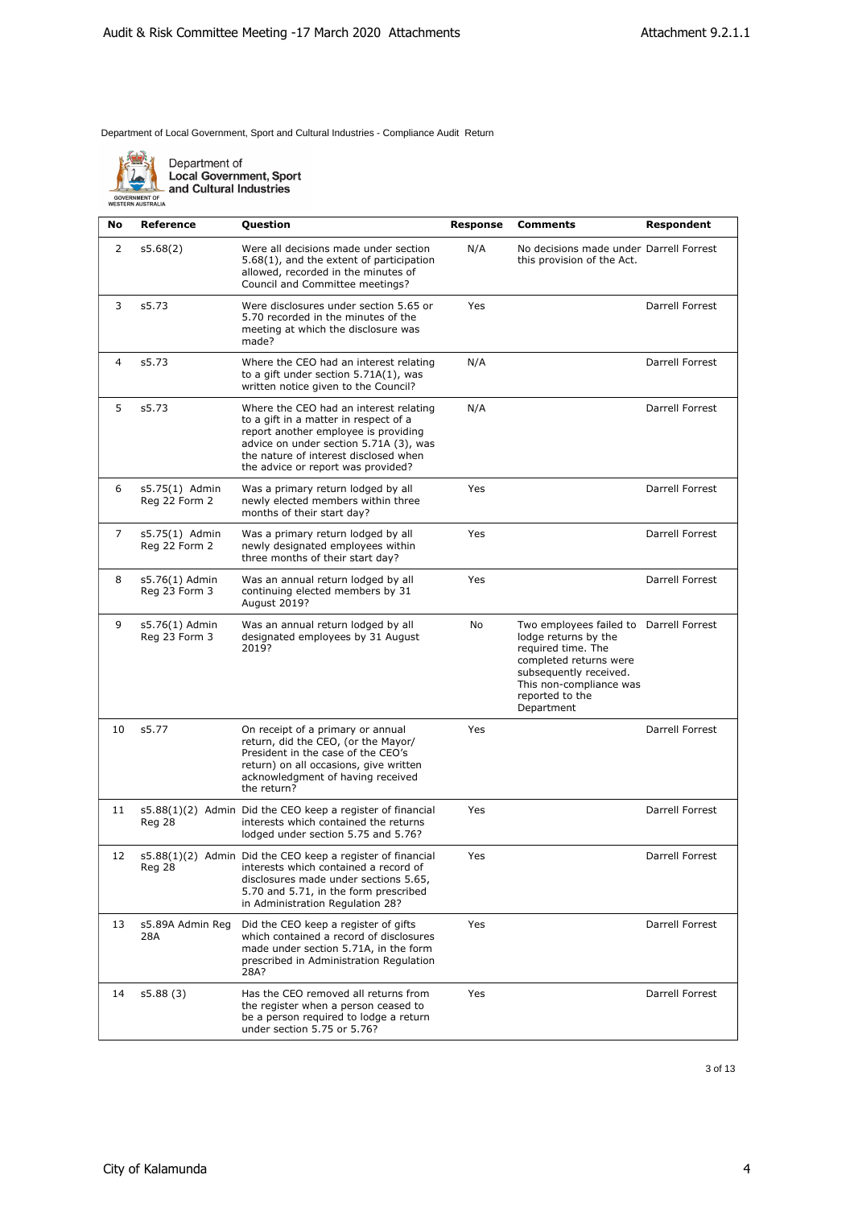

Department of<br>Local Government, Sport<br>- and Cultural Industries

| No | <b>Reference</b>                | Question                                                                                                                                                                                                                                         | Response | <b>Comments</b>                                                                                                                                                                                       | Respondent      |
|----|---------------------------------|--------------------------------------------------------------------------------------------------------------------------------------------------------------------------------------------------------------------------------------------------|----------|-------------------------------------------------------------------------------------------------------------------------------------------------------------------------------------------------------|-----------------|
| 2  | s5.68(2)                        | Were all decisions made under section<br>5.68(1), and the extent of participation<br>allowed, recorded in the minutes of<br>Council and Committee meetings?                                                                                      | N/A      | No decisions made under Darrell Forrest<br>this provision of the Act.                                                                                                                                 |                 |
| 3  | s5.73                           | Were disclosures under section 5.65 or<br>5.70 recorded in the minutes of the<br>meeting at which the disclosure was<br>made?                                                                                                                    | Yes      |                                                                                                                                                                                                       | Darrell Forrest |
| 4  | s5.73                           | Where the CEO had an interest relating<br>to a gift under section $5.71A(1)$ , was<br>written notice given to the Council?                                                                                                                       | N/A      |                                                                                                                                                                                                       | Darrell Forrest |
| 5  | s5.73                           | Where the CEO had an interest relating<br>to a gift in a matter in respect of a<br>report another employee is providing<br>advice on under section 5.71A (3), was<br>the nature of interest disclosed when<br>the advice or report was provided? | N/A      |                                                                                                                                                                                                       | Darrell Forrest |
| 6  | s5.75(1) Admin<br>Reg 22 Form 2 | Was a primary return lodged by all<br>newly elected members within three<br>months of their start day?                                                                                                                                           | Yes      |                                                                                                                                                                                                       | Darrell Forrest |
| 7  | s5.75(1) Admin<br>Reg 22 Form 2 | Was a primary return lodged by all<br>newly designated employees within<br>three months of their start day?                                                                                                                                      | Yes      |                                                                                                                                                                                                       | Darrell Forrest |
| 8  | s5.76(1) Admin<br>Reg 23 Form 3 | Was an annual return lodged by all<br>continuing elected members by 31<br>August 2019?                                                                                                                                                           | Yes      |                                                                                                                                                                                                       | Darrell Forrest |
| 9  | s5.76(1) Admin<br>Reg 23 Form 3 | Was an annual return lodged by all<br>designated employees by 31 August<br>2019?                                                                                                                                                                 | No       | Two employees failed to Darrell Forrest<br>lodge returns by the<br>required time. The<br>completed returns were<br>subsequently received.<br>This non-compliance was<br>reported to the<br>Department |                 |
| 10 | s5.77                           | On receipt of a primary or annual<br>return, did the CEO, (or the Mayor/<br>President in the case of the CEO's<br>return) on all occasions, give written<br>acknowledgment of having received<br>the return?                                     | Yes      |                                                                                                                                                                                                       | Darrell Forrest |
| 11 | Reg 28                          | s5.88(1)(2) Admin Did the CEO keep a register of financial<br>interests which contained the returns<br>lodged under section 5.75 and 5.76?                                                                                                       | Yes      |                                                                                                                                                                                                       | Darrell Forrest |
| 12 | Reg 28                          | s5.88(1)(2) Admin Did the CEO keep a register of financial<br>interests which contained a record of<br>disclosures made under sections 5.65,<br>5.70 and 5.71, in the form prescribed<br>in Administration Regulation 28?                        | Yes      |                                                                                                                                                                                                       | Darrell Forrest |
| 13 | s5.89A Admin Reg<br>28A         | Did the CEO keep a register of gifts<br>which contained a record of disclosures<br>made under section 5.71A, in the form<br>prescribed in Administration Regulation<br>28A?                                                                      | Yes      |                                                                                                                                                                                                       | Darrell Forrest |
| 14 | s5.88 (3)                       | Has the CEO removed all returns from<br>the register when a person ceased to<br>be a person required to lodge a return<br>under section 5.75 or 5.76?                                                                                            | Yes      |                                                                                                                                                                                                       | Darrell Forrest |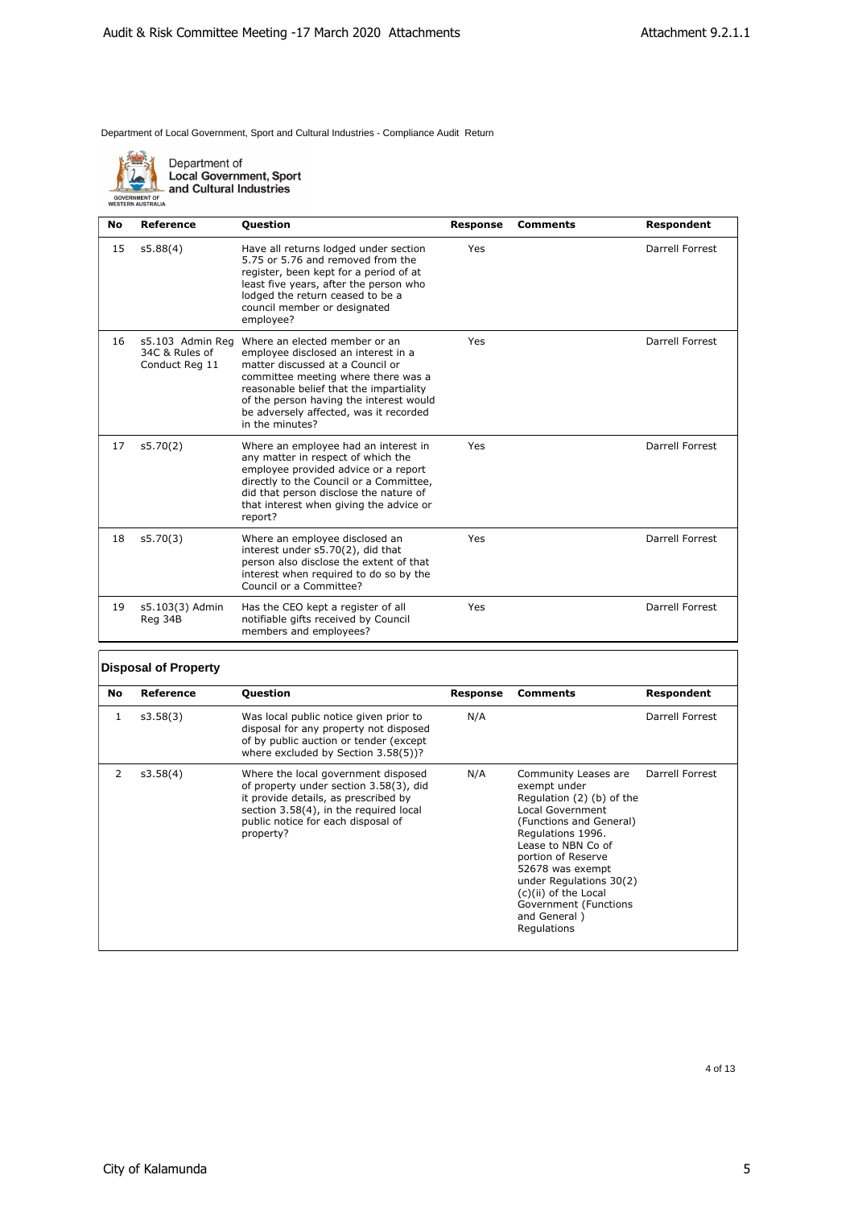

Department of<br>Local Government, Sport<br>and Cultural Industries

| No | <b>Reference</b>                                     | <b>Question</b>                                                                                                                                                                                                                                                                                    | <b>Response</b> | <b>Comments</b> | Respondent      |
|----|------------------------------------------------------|----------------------------------------------------------------------------------------------------------------------------------------------------------------------------------------------------------------------------------------------------------------------------------------------------|-----------------|-----------------|-----------------|
| 15 | s5.88(4)                                             | Have all returns lodged under section<br>5.75 or 5.76 and removed from the<br>register, been kept for a period of at<br>least five years, after the person who<br>lodged the return ceased to be a<br>council member or designated<br>employee?                                                    | Yes             |                 | Darrell Forrest |
| 16 | s5.103 Admin Rea<br>34C & Rules of<br>Conduct Reg 11 | Where an elected member or an<br>employee disclosed an interest in a<br>matter discussed at a Council or<br>committee meeting where there was a<br>reasonable belief that the impartiality<br>of the person having the interest would<br>be adversely affected, was it recorded<br>in the minutes? | Yes             |                 | Darrell Forrest |
| 17 | s5.70(2)                                             | Where an employee had an interest in<br>any matter in respect of which the<br>employee provided advice or a report<br>directly to the Council or a Committee,<br>did that person disclose the nature of<br>that interest when giving the advice or<br>report?                                      | Yes             |                 | Darrell Forrest |
| 18 | s5.70(3)                                             | Where an employee disclosed an<br>interest under s5.70(2), did that<br>person also disclose the extent of that<br>interest when required to do so by the<br>Council or a Committee?                                                                                                                | Yes             |                 | Darrell Forrest |
| 19 | s5.103(3) Admin<br>Reg 34B                           | Has the CEO kept a register of all<br>notifiable gifts received by Council<br>members and employees?                                                                                                                                                                                               | Yes             |                 | Darrell Forrest |

## **Disposal of Property**

| No | Reference | <b>Question</b>                                                                                                                                                                                                    | Response | <b>Comments</b>                                                                                                                                                                                                                                                                                                  | Respondent      |
|----|-----------|--------------------------------------------------------------------------------------------------------------------------------------------------------------------------------------------------------------------|----------|------------------------------------------------------------------------------------------------------------------------------------------------------------------------------------------------------------------------------------------------------------------------------------------------------------------|-----------------|
| 1  | s3.58(3)  | Was local public notice given prior to<br>disposal for any property not disposed<br>of by public auction or tender (except<br>where excluded by Section 3.58(5))?                                                  | N/A      |                                                                                                                                                                                                                                                                                                                  | Darrell Forrest |
| 2  | s3.58(4)  | Where the local government disposed<br>of property under section 3.58(3), did<br>it provide details, as prescribed by<br>section 3.58(4), in the required local<br>public notice for each disposal of<br>property? | N/A      | Community Leases are<br>exempt under<br>Regulation (2) (b) of the<br>Local Government<br>(Functions and General)<br>Regulations 1996.<br>Lease to NBN Co of<br>portion of Reserve<br>52678 was exempt<br>under Regulations 30(2)<br>(c)(ii) of the Local<br>Government (Functions<br>and General)<br>Regulations | Darrell Forrest |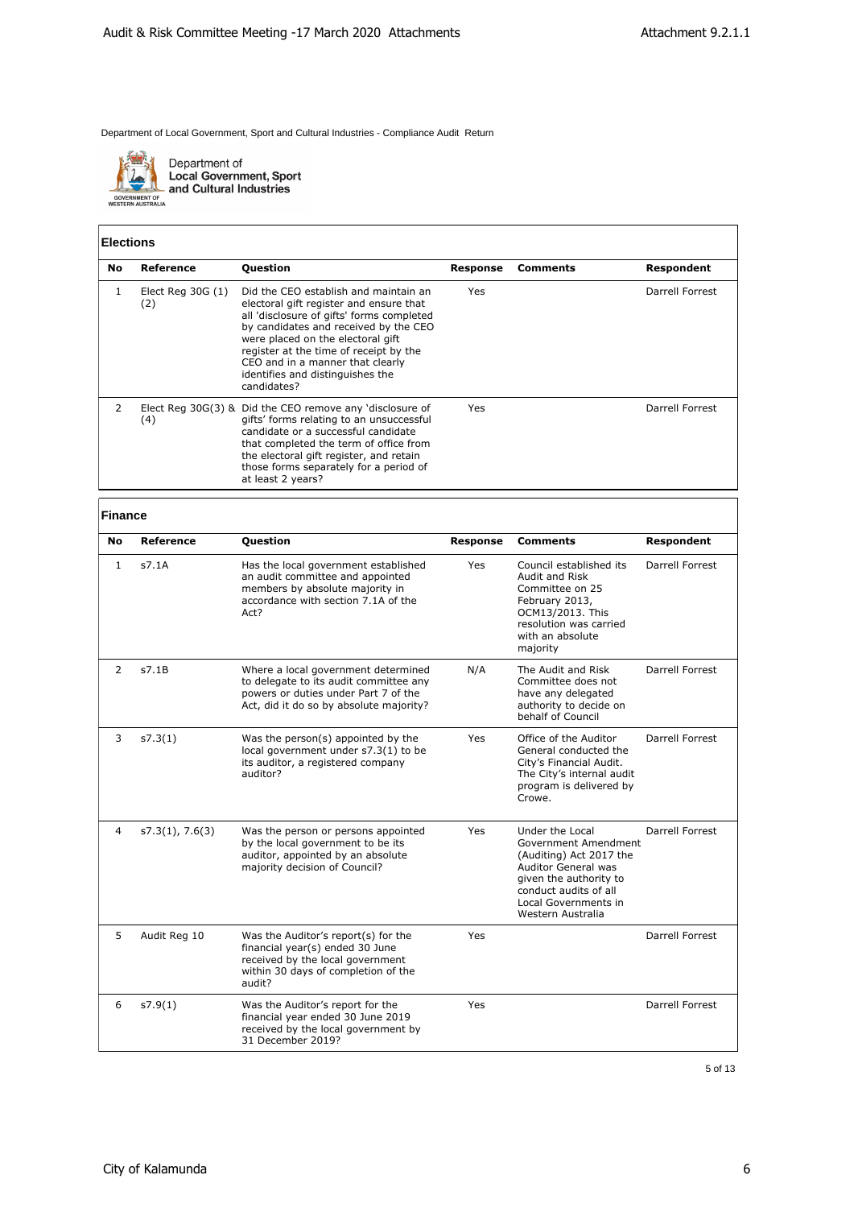

Department of<br>Local Government, Sport<br>and Cultural Industries

### **Elections**

| No. | Reference                 | <b>Question</b>                                                                                                                                                                                                                                                                                                                              | Response | Comments | Respondent      |
|-----|---------------------------|----------------------------------------------------------------------------------------------------------------------------------------------------------------------------------------------------------------------------------------------------------------------------------------------------------------------------------------------|----------|----------|-----------------|
|     | Elect Reg $30G(1)$<br>(2) | Did the CEO establish and maintain an<br>electoral gift register and ensure that<br>all 'disclosure of gifts' forms completed<br>by candidates and received by the CEO<br>were placed on the electoral gift<br>register at the time of receipt by the<br>CEO and in a manner that clearly<br>identifies and distinguishes the<br>candidates? | Yes      |          | Darrell Forrest |
| 2   | (4)                       | Elect Reg $30G(3)$ & Did the CEO remove any 'disclosure of<br>gifts' forms relating to an unsuccessful<br>candidate or a successful candidate<br>that completed the term of office from<br>the electoral gift register, and retain<br>those forms separately for a period of<br>at least 2 years?                                            | Yes      |          | Darrell Forrest |

# **Finance**

| No | Reference       | Question                                                                                                                                                         | <b>Response</b> | <b>Comments</b>                                                                                                                                                                           | Respondent      |
|----|-----------------|------------------------------------------------------------------------------------------------------------------------------------------------------------------|-----------------|-------------------------------------------------------------------------------------------------------------------------------------------------------------------------------------------|-----------------|
| 1  | s7.1A           | Has the local government established<br>an audit committee and appointed<br>members by absolute majority in<br>accordance with section 7.1A of the<br>Act?       | Yes             | Council established its<br>Audit and Risk<br>Committee on 25<br>February 2013,<br>OCM13/2013. This<br>resolution was carried<br>with an absolute<br>majority                              | Darrell Forrest |
| 2  | s7.1B           | Where a local government determined<br>to delegate to its audit committee any<br>powers or duties under Part 7 of the<br>Act, did it do so by absolute majority? | N/A             | The Audit and Risk<br>Committee does not<br>have any delegated<br>authority to decide on<br>behalf of Council                                                                             | Darrell Forrest |
| 3  | s7.3(1)         | Was the person(s) appointed by the<br>local government under s7.3(1) to be<br>its auditor, a registered company<br>auditor?                                      | Yes             | Office of the Auditor<br>General conducted the<br>City's Financial Audit.<br>The City's internal audit<br>program is delivered by<br>Crowe.                                               | Darrell Forrest |
| 4  | s7.3(1), 7.6(3) | Was the person or persons appointed<br>by the local government to be its<br>auditor, appointed by an absolute<br>majority decision of Council?                   | Yes             | Under the Local<br>Government Amendment<br>(Auditing) Act 2017 the<br>Auditor General was<br>given the authority to<br>conduct audits of all<br>Local Governments in<br>Western Australia | Darrell Forrest |
| 5  | Audit Reg 10    | Was the Auditor's report(s) for the<br>financial year(s) ended 30 June<br>received by the local government<br>within 30 days of completion of the<br>audit?      | Yes             |                                                                                                                                                                                           | Darrell Forrest |
| 6  | s7.9(1)         | Was the Auditor's report for the<br>financial year ended 30 June 2019<br>received by the local government by<br>31 December 2019?                                | Yes             |                                                                                                                                                                                           | Darrell Forrest |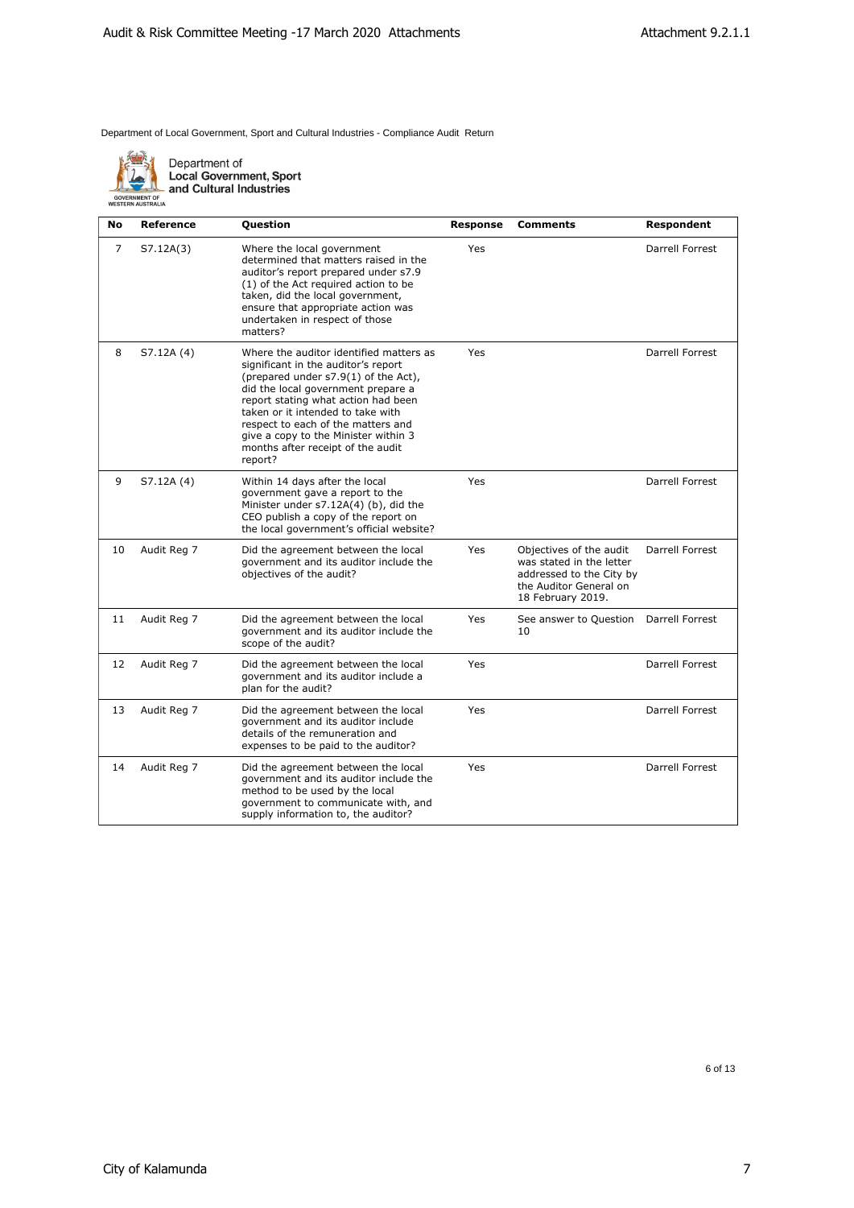

Department of<br>Local Government, Sport<br>and Cultural Industries

| No | Reference   | Question                                                                                                                                                                                                                                                                                                                                                               | Response | Comments                                                                                                                       | Respondent             |
|----|-------------|------------------------------------------------------------------------------------------------------------------------------------------------------------------------------------------------------------------------------------------------------------------------------------------------------------------------------------------------------------------------|----------|--------------------------------------------------------------------------------------------------------------------------------|------------------------|
| 7  | S7.12A(3)   | Where the local government<br>determined that matters raised in the<br>auditor's report prepared under s7.9<br>(1) of the Act required action to be<br>taken, did the local government,<br>ensure that appropriate action was<br>undertaken in respect of those<br>matters?                                                                                            | Yes      |                                                                                                                                | Darrell Forrest        |
| 8  | S7.12A (4)  | Where the auditor identified matters as<br>significant in the auditor's report<br>(prepared under s7.9(1) of the Act),<br>did the local government prepare a<br>report stating what action had been<br>taken or it intended to take with<br>respect to each of the matters and<br>give a copy to the Minister within 3<br>months after receipt of the audit<br>report? | Yes      |                                                                                                                                | Darrell Forrest        |
| 9  | S7.12A (4)  | Within 14 days after the local<br>government gave a report to the<br>Minister under s7.12A(4) (b), did the<br>CEO publish a copy of the report on<br>the local government's official website?                                                                                                                                                                          | Yes      |                                                                                                                                | <b>Darrell Forrest</b> |
| 10 | Audit Reg 7 | Did the agreement between the local<br>government and its auditor include the<br>objectives of the audit?                                                                                                                                                                                                                                                              | Yes      | Objectives of the audit<br>was stated in the letter<br>addressed to the City by<br>the Auditor General on<br>18 February 2019. | Darrell Forrest        |
| 11 | Audit Reg 7 | Did the agreement between the local<br>government and its auditor include the<br>scope of the audit?                                                                                                                                                                                                                                                                   | Yes      | See answer to Question<br>10                                                                                                   | Darrell Forrest        |
| 12 | Audit Reg 7 | Did the agreement between the local<br>government and its auditor include a<br>plan for the audit?                                                                                                                                                                                                                                                                     | Yes      |                                                                                                                                | Darrell Forrest        |
| 13 | Audit Reg 7 | Did the agreement between the local<br>government and its auditor include<br>details of the remuneration and<br>expenses to be paid to the auditor?                                                                                                                                                                                                                    | Yes      |                                                                                                                                | Darrell Forrest        |
| 14 | Audit Reg 7 | Did the agreement between the local<br>government and its auditor include the<br>method to be used by the local<br>government to communicate with, and<br>supply information to, the auditor?                                                                                                                                                                          | Yes      |                                                                                                                                | Darrell Forrest        |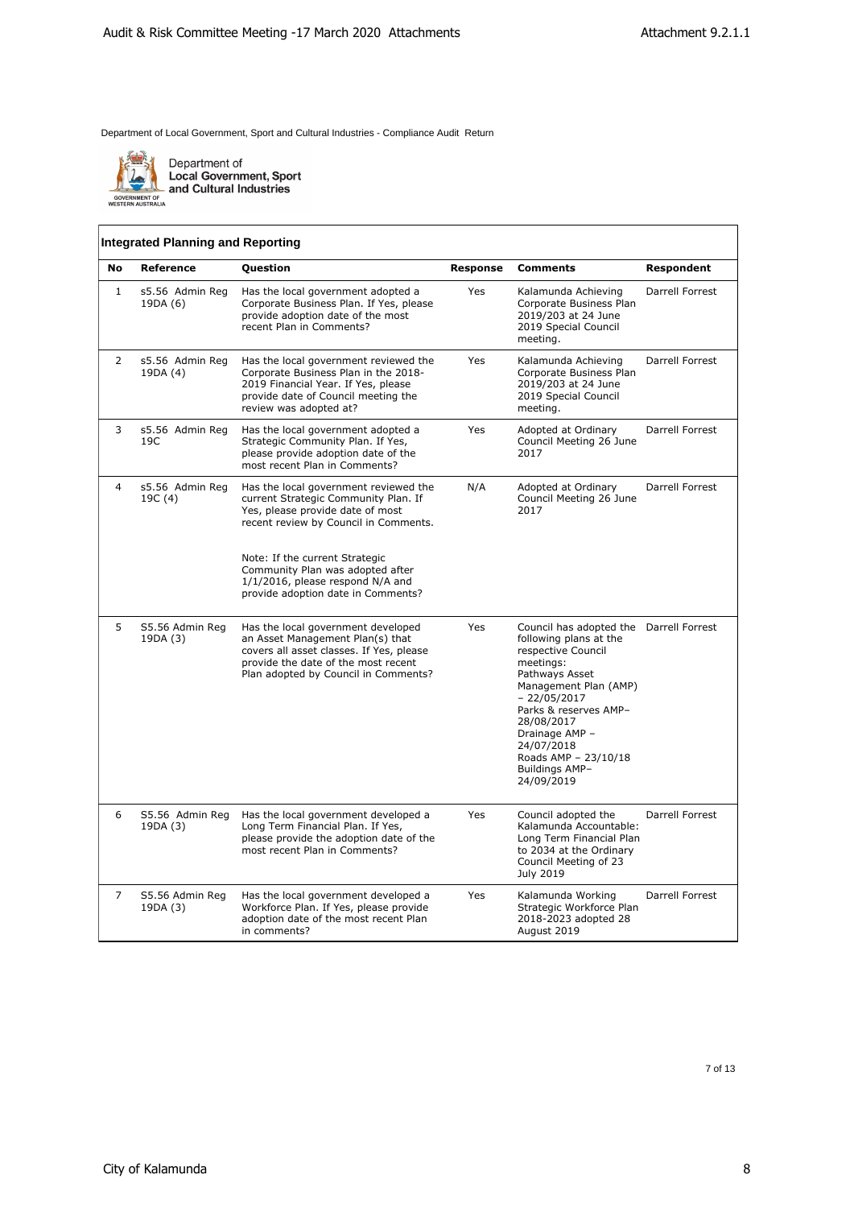

Department of<br>Local Government, Sport<br>and Cultural Industries

## **Integrated Planning and Reporting**

| <b>No</b>      | Reference                   | <b>Question</b>                                                                                                                                                                                                                                                                                            | <b>Response</b> | <b>Comments</b>                                                                                                                                                                                                                                                                                 | Respondent      |
|----------------|-----------------------------|------------------------------------------------------------------------------------------------------------------------------------------------------------------------------------------------------------------------------------------------------------------------------------------------------------|-----------------|-------------------------------------------------------------------------------------------------------------------------------------------------------------------------------------------------------------------------------------------------------------------------------------------------|-----------------|
| $\mathbf{1}$   | s5.56 Admin Reg<br>19DA (6) | Has the local government adopted a<br>Corporate Business Plan. If Yes, please<br>provide adoption date of the most<br>recent Plan in Comments?                                                                                                                                                             | <b>Yes</b>      | Kalamunda Achieving<br>Corporate Business Plan<br>2019/203 at 24 June<br>2019 Special Council<br>meeting.                                                                                                                                                                                       | Darrell Forrest |
| 2              | s5.56 Admin Reg<br>19DA (4) | Has the local government reviewed the<br>Corporate Business Plan in the 2018-<br>2019 Financial Year. If Yes, please<br>provide date of Council meeting the<br>review was adopted at?                                                                                                                      | Yes             | Kalamunda Achieving<br>Corporate Business Plan<br>2019/203 at 24 June<br>2019 Special Council<br>meeting.                                                                                                                                                                                       | Darrell Forrest |
| 3              | s5.56 Admin Reg<br>19C      | Has the local government adopted a<br>Strategic Community Plan. If Yes,<br>please provide adoption date of the<br>most recent Plan in Comments?                                                                                                                                                            | Yes             | Adopted at Ordinary<br>Council Meeting 26 June<br>2017                                                                                                                                                                                                                                          | Darrell Forrest |
| $\overline{4}$ | s5.56 Admin Reg<br>19C (4)  | Has the local government reviewed the<br>current Strategic Community Plan. If<br>Yes, please provide date of most<br>recent review by Council in Comments.<br>Note: If the current Strategic<br>Community Plan was adopted after<br>1/1/2016, please respond N/A and<br>provide adoption date in Comments? | N/A             | Adopted at Ordinary<br>Council Meeting 26 June<br>2017                                                                                                                                                                                                                                          | Darrell Forrest |
| 5              | S5.56 Admin Reg<br>19DA (3) | Has the local government developed<br>an Asset Management Plan(s) that<br>covers all asset classes. If Yes, please<br>provide the date of the most recent<br>Plan adopted by Council in Comments?                                                                                                          | Yes             | Council has adopted the Darrell Forrest<br>following plans at the<br>respective Council<br>meetings:<br>Pathways Asset<br>Management Plan (AMP)<br>$-22/05/2017$<br>Parks & reserves AMP-<br>28/08/2017<br>Drainage AMP -<br>24/07/2018<br>Roads AMP - 23/10/18<br>Buildings AMP-<br>24/09/2019 |                 |
| 6              | S5.56 Admin Reg<br>19DA (3) | Has the local government developed a<br>Long Term Financial Plan. If Yes,<br>please provide the adoption date of the<br>most recent Plan in Comments?                                                                                                                                                      | Yes             | Council adopted the<br>Kalamunda Accountable:<br>Long Term Financial Plan<br>to 2034 at the Ordinary<br>Council Meeting of 23<br><b>July 2019</b>                                                                                                                                               | Darrell Forrest |
| 7              | S5.56 Admin Reg<br>19DA (3) | Has the local government developed a<br>Workforce Plan. If Yes, please provide<br>adoption date of the most recent Plan<br>in comments?                                                                                                                                                                    | Yes             | Kalamunda Working<br>Strategic Workforce Plan<br>2018-2023 adopted 28<br>August 2019                                                                                                                                                                                                            | Darrell Forrest |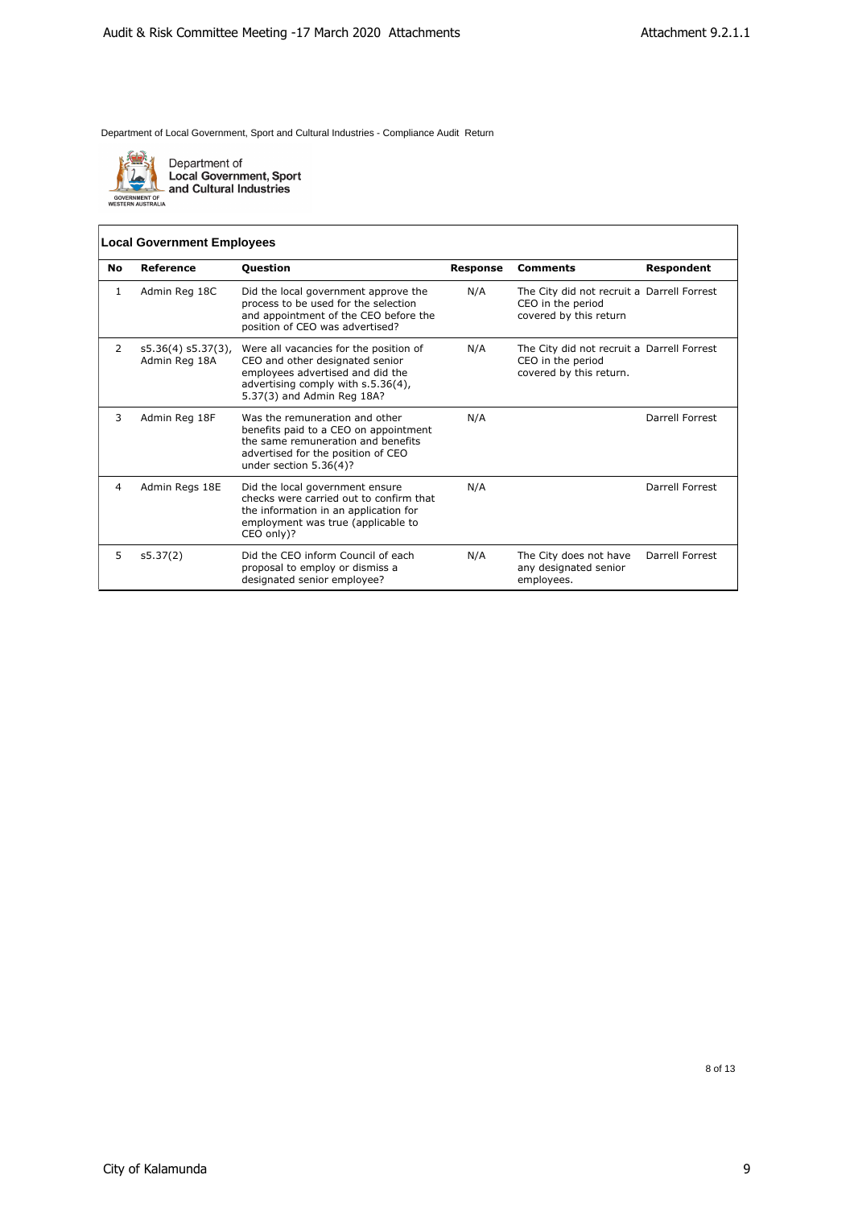

Department of<br>Local Government, Sport<br>and Cultural Industries

## **Local Government Employees**

| No | Reference                              | Question                                                                                                                                                                          | <b>Response</b> | <b>Comments</b>                                                                            | Respondent      |
|----|----------------------------------------|-----------------------------------------------------------------------------------------------------------------------------------------------------------------------------------|-----------------|--------------------------------------------------------------------------------------------|-----------------|
| 1  | Admin Reg 18C                          | Did the local government approve the<br>process to be used for the selection<br>and appointment of the CEO before the<br>position of CEO was advertised?                          | N/A             | The City did not recruit a Darrell Forrest<br>CEO in the period<br>covered by this return  |                 |
| 2  | $s5.36(4) s5.37(3)$ ,<br>Admin Reg 18A | Were all vacancies for the position of<br>CEO and other designated senior<br>employees advertised and did the<br>advertising comply with s.5.36(4),<br>5.37(3) and Admin Reg 18A? | N/A             | The City did not recruit a Darrell Forrest<br>CEO in the period<br>covered by this return. |                 |
| 3  | Admin Reg 18F                          | Was the remuneration and other<br>benefits paid to a CEO on appointment<br>the same remuneration and benefits<br>advertised for the position of CEO<br>under section $5.36(4)$ ?  | N/A             |                                                                                            | Darrell Forrest |
| 4  | Admin Regs 18E                         | Did the local government ensure<br>checks were carried out to confirm that<br>the information in an application for<br>employment was true (applicable to<br>CEO only)?           | N/A             |                                                                                            | Darrell Forrest |
| 5  | s5.37(2)                               | Did the CEO inform Council of each<br>proposal to employ or dismiss a<br>designated senior employee?                                                                              | N/A             | The City does not have<br>any designated senior<br>employees.                              | Darrell Forrest |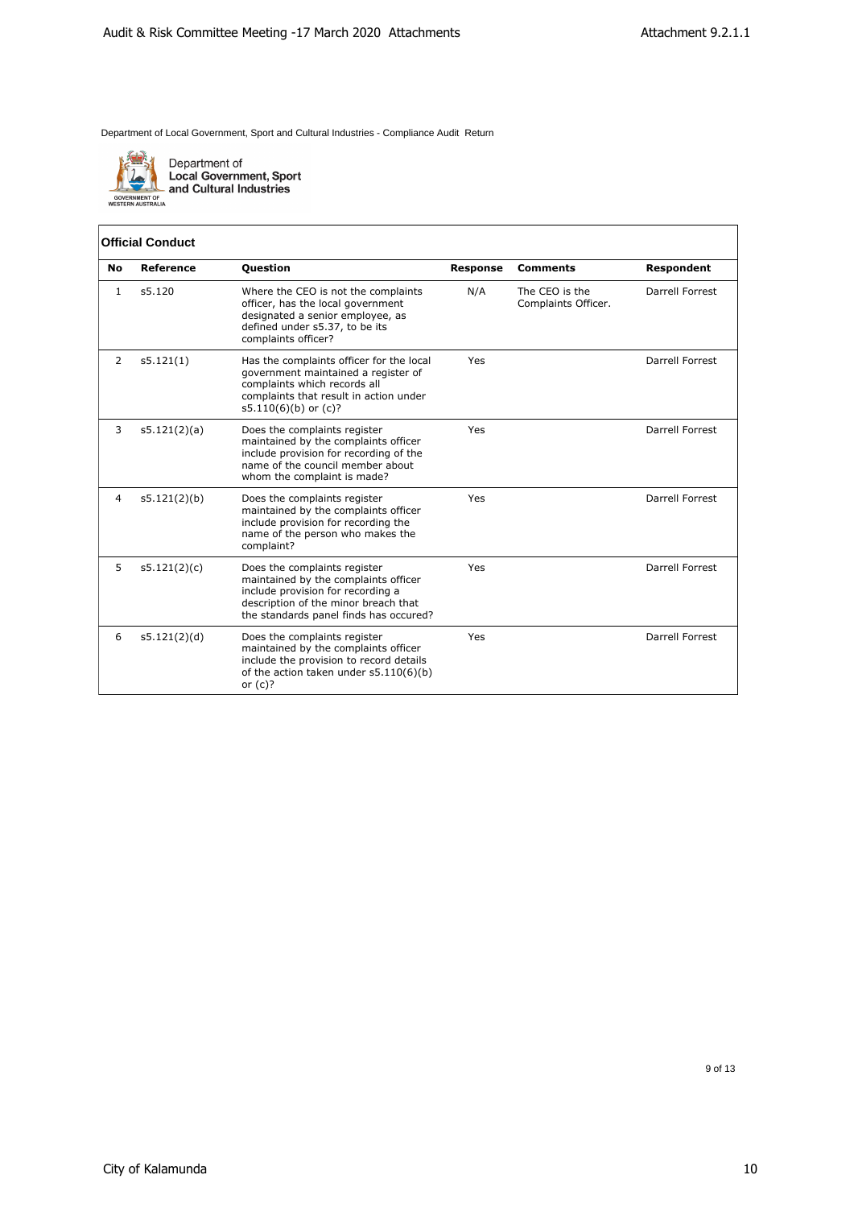

Department of<br>Local Government, Sport<br>and Cultural Industries

## **Official Conduct**

| No | Reference    | <b>Question</b>                                                                                                                                                                             | <b>Response</b> | <b>Comments</b>                       | Respondent      |
|----|--------------|---------------------------------------------------------------------------------------------------------------------------------------------------------------------------------------------|-----------------|---------------------------------------|-----------------|
| 1  | s5.120       | Where the CEO is not the complaints<br>officer, has the local government<br>designated a senior employee, as<br>defined under s5.37, to be its<br>complaints officer?                       | N/A             | The CEO is the<br>Complaints Officer. | Darrell Forrest |
| 2  | s5.121(1)    | Has the complaints officer for the local<br>government maintained a register of<br>complaints which records all<br>complaints that result in action under<br>$s5.110(6)(b)$ or $(c)?$       | Yes             |                                       | Darrell Forrest |
| 3  | s5.121(2)(a) | Does the complaints register<br>maintained by the complaints officer<br>include provision for recording of the<br>name of the council member about<br>whom the complaint is made?           | Yes             |                                       | Darrell Forrest |
| 4  | s5.121(2)(b) | Does the complaints register<br>maintained by the complaints officer<br>include provision for recording the<br>name of the person who makes the<br>complaint?                               | Yes             |                                       | Darrell Forrest |
| 5  | s5.121(2)(c) | Does the complaints register<br>maintained by the complaints officer<br>include provision for recording a<br>description of the minor breach that<br>the standards panel finds has occured? | Yes             |                                       | Darrell Forrest |
| 6  | s5.121(2)(d) | Does the complaints register<br>maintained by the complaints officer<br>include the provision to record details<br>of the action taken under s5.110(6)(b)<br>or $(c)?$                      | Yes             |                                       | Darrell Forrest |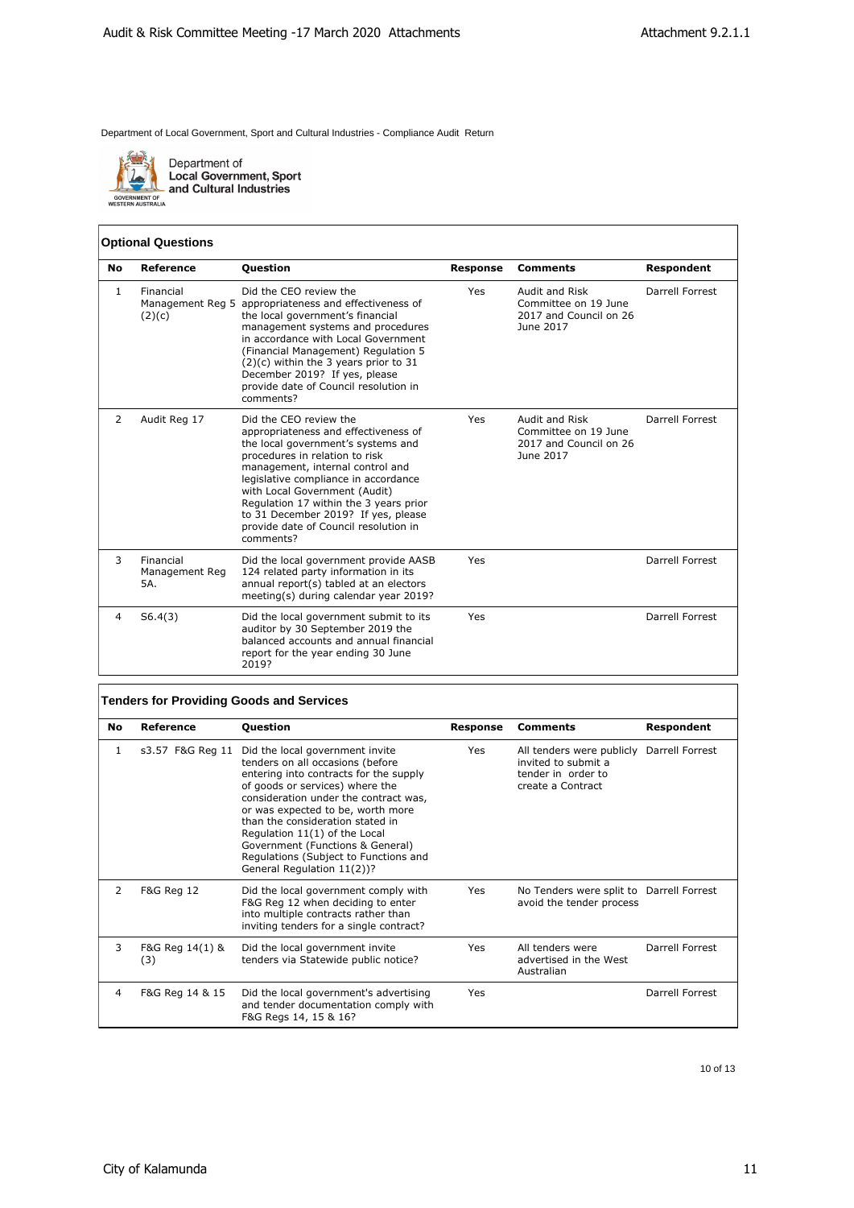

Department of<br>Local Government, Sport<br>and Cultural Industries

## **Optional Questions**

| <b>No</b>    | <b>Reference</b>                   | <b>Question</b>                                                                                                                                                                                                                                                                                                                                                                            | <b>Response</b> | <b>Comments</b>                                                               | Respondent      |
|--------------|------------------------------------|--------------------------------------------------------------------------------------------------------------------------------------------------------------------------------------------------------------------------------------------------------------------------------------------------------------------------------------------------------------------------------------------|-----------------|-------------------------------------------------------------------------------|-----------------|
| $\mathbf{1}$ | Financial<br>(2)(c)                | Did the CEO review the<br>Management Reg 5 appropriateness and effectiveness of<br>the local government's financial<br>management systems and procedures<br>in accordance with Local Government<br>(Financial Management) Regulation 5<br>$(2)(c)$ within the 3 years prior to 31<br>December 2019? If yes, please<br>provide date of Council resolution in<br>comments?                   | Yes             | Audit and Risk<br>Committee on 19 June<br>2017 and Council on 26<br>June 2017 | Darrell Forrest |
| 2            | Audit Reg 17                       | Did the CEO review the<br>appropriateness and effectiveness of<br>the local government's systems and<br>procedures in relation to risk<br>management, internal control and<br>legislative compliance in accordance<br>with Local Government (Audit)<br>Regulation 17 within the 3 years prior<br>to 31 December 2019? If yes, please<br>provide date of Council resolution in<br>comments? | Yes             | Audit and Risk<br>Committee on 19 June<br>2017 and Council on 26<br>June 2017 | Darrell Forrest |
| 3            | Financial<br>Management Reg<br>5A. | Did the local government provide AASB<br>124 related party information in its<br>annual report(s) tabled at an electors<br>meeting(s) during calendar year 2019?                                                                                                                                                                                                                           | Yes             |                                                                               | Darrell Forrest |
| 4            | S6.4(3)                            | Did the local government submit to its<br>auditor by 30 September 2019 the<br>balanced accounts and annual financial<br>report for the year ending 30 June<br>2019?                                                                                                                                                                                                                        | Yes             |                                                                               | Darrell Forrest |

## **Tenders for Providing Goods and Services**

| No | Reference              | <b>Question</b>                                                                                                                                                                                                                                                                                                                                                                                                | Response | <b>Comments</b>                                                                                             | Respondent      |
|----|------------------------|----------------------------------------------------------------------------------------------------------------------------------------------------------------------------------------------------------------------------------------------------------------------------------------------------------------------------------------------------------------------------------------------------------------|----------|-------------------------------------------------------------------------------------------------------------|-----------------|
| 1  | s3.57 F&G Reg 11       | Did the local government invite<br>tenders on all occasions (before<br>entering into contracts for the supply<br>of goods or services) where the<br>consideration under the contract was,<br>or was expected to be, worth more<br>than the consideration stated in<br>Regulation 11(1) of the Local<br>Government (Functions & General)<br>Regulations (Subject to Functions and<br>General Regulation 11(2))? | Yes      | All tenders were publicly Darrell Forrest<br>invited to submit a<br>tender in order to<br>create a Contract |                 |
| 2  | <b>F&amp;G Reg 12</b>  | Did the local government comply with<br>F&G Reg 12 when deciding to enter<br>into multiple contracts rather than<br>inviting tenders for a single contract?                                                                                                                                                                                                                                                    | Yes      | No Tenders were split to Darrell Forrest<br>avoid the tender process                                        |                 |
| 3  | F&G Reg 14(1) &<br>(3) | Did the local government invite<br>tenders via Statewide public notice?                                                                                                                                                                                                                                                                                                                                        | Yes      | All tenders were<br>advertised in the West<br>Australian                                                    | Darrell Forrest |
| 4  | F&G Reg 14 & 15        | Did the local government's advertising<br>and tender documentation comply with<br>F&G Regs 14, 15 & 16?                                                                                                                                                                                                                                                                                                        | Yes      |                                                                                                             | Darrell Forrest |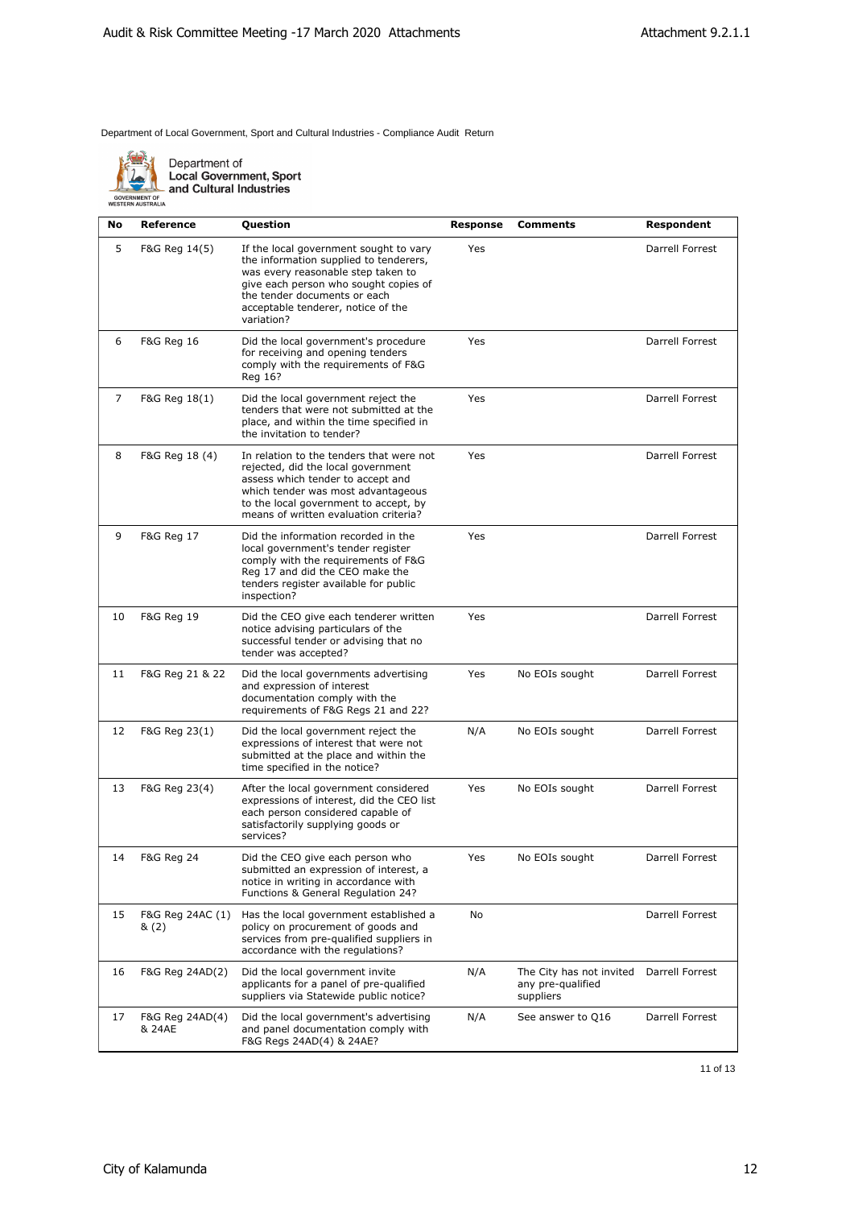

Department of<br>Local Government, Sport<br>- and Cultural Industries

| No | <b>Reference</b>          | Question                                                                                                                                                                                                                                            | Response | <b>Comments</b>                                            | Respondent      |
|----|---------------------------|-----------------------------------------------------------------------------------------------------------------------------------------------------------------------------------------------------------------------------------------------------|----------|------------------------------------------------------------|-----------------|
| 5  | F&G Reg 14(5)             | If the local government sought to vary<br>the information supplied to tenderers,<br>was every reasonable step taken to<br>give each person who sought copies of<br>the tender documents or each<br>acceptable tenderer, notice of the<br>variation? | Yes      |                                                            | Darrell Forrest |
| 6  | <b>F&amp;G Reg 16</b>     | Did the local government's procedure<br>for receiving and opening tenders<br>comply with the requirements of F&G<br>Reg 16?                                                                                                                         | Yes      |                                                            | Darrell Forrest |
| 7  | F&G Reg 18(1)             | Did the local government reject the<br>tenders that were not submitted at the<br>place, and within the time specified in<br>the invitation to tender?                                                                                               | Yes      |                                                            | Darrell Forrest |
| 8  | F&G Reg 18 (4)            | In relation to the tenders that were not<br>rejected, did the local government<br>assess which tender to accept and<br>which tender was most advantageous<br>to the local government to accept, by<br>means of written evaluation criteria?         | Yes      |                                                            | Darrell Forrest |
| 9  | <b>F&amp;G Reg 17</b>     | Did the information recorded in the<br>local government's tender register<br>comply with the requirements of F&G<br>Reg 17 and did the CEO make the<br>tenders register available for public<br>inspection?                                         | Yes      |                                                            | Darrell Forrest |
| 10 | <b>F&amp;G Reg 19</b>     | Did the CEO give each tenderer written<br>notice advising particulars of the<br>successful tender or advising that no<br>tender was accepted?                                                                                                       | Yes      |                                                            | Darrell Forrest |
| 11 | F&G Reg 21 & 22           | Did the local governments advertising<br>and expression of interest<br>documentation comply with the<br>requirements of F&G Regs 21 and 22?                                                                                                         | Yes      | No EOIs sought                                             | Darrell Forrest |
| 12 | F&G Reg 23(1)             | Did the local government reject the<br>expressions of interest that were not<br>submitted at the place and within the<br>time specified in the notice?                                                                                              | N/A      | No EOIs sought                                             | Darrell Forrest |
| 13 | F&G Reg 23(4)             | After the local government considered<br>expressions of interest, did the CEO list<br>each person considered capable of<br>satisfactorily supplying goods or<br>services?                                                                           | Yes      | No EOIs sought                                             | Darrell Forrest |
| 14 | F&G Reg 24                | Did the CEO give each person who<br>submitted an expression of interest, a<br>notice in writing in accordance with<br>Functions & General Regulation 24?                                                                                            | Yes      | No EOIs sought                                             | Darrell Forrest |
| 15 | F&G Reg 24AC (1)<br>& (2) | Has the local government established a<br>policy on procurement of goods and<br>services from pre-qualified suppliers in<br>accordance with the regulations?                                                                                        | No       |                                                            | Darrell Forrest |
| 16 | F&G Reg 24AD(2)           | Did the local government invite<br>applicants for a panel of pre-qualified<br>suppliers via Statewide public notice?                                                                                                                                | N/A      | The City has not invited<br>any pre-qualified<br>suppliers | Darrell Forrest |
| 17 | F&G Reg 24AD(4)<br>& 24AE | Did the local government's advertising<br>and panel documentation comply with<br>F&G Regs 24AD(4) & 24AE?                                                                                                                                           | N/A      | See answer to Q16                                          | Darrell Forrest |
|    |                           |                                                                                                                                                                                                                                                     |          |                                                            |                 |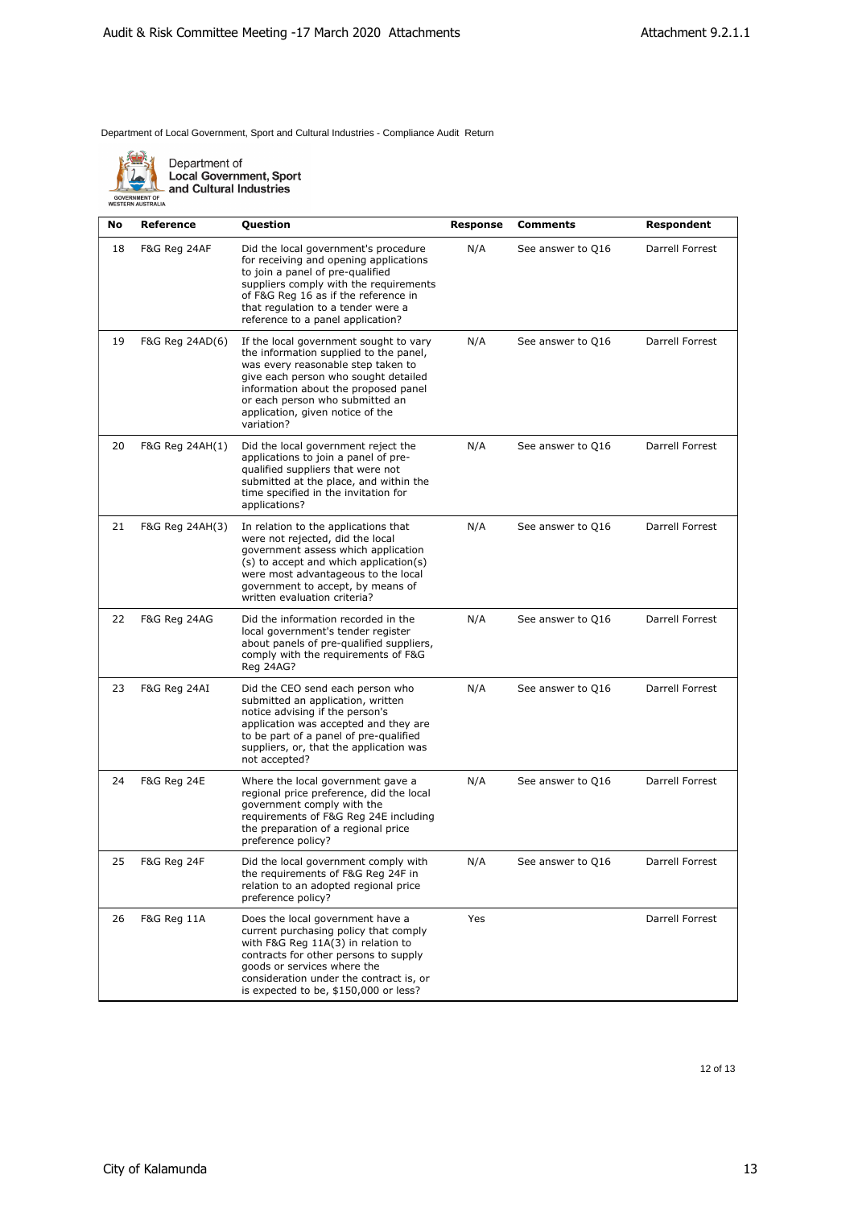

Department of<br>Local Government, Sport<br>and Cultural Industries

| No | Reference              | Question                                                                                                                                                                                                                                                                                    | <b>Response</b> | <b>Comments</b>   | Respondent      |
|----|------------------------|---------------------------------------------------------------------------------------------------------------------------------------------------------------------------------------------------------------------------------------------------------------------------------------------|-----------------|-------------------|-----------------|
| 18 | F&G Reg 24AF           | Did the local government's procedure<br>for receiving and opening applications<br>to join a panel of pre-qualified<br>suppliers comply with the requirements<br>of F&G Reg 16 as if the reference in<br>that regulation to a tender were a<br>reference to a panel application?             | N/A             | See answer to Q16 | Darrell Forrest |
| 19 | F&G Reg 24AD(6)        | If the local government sought to vary<br>the information supplied to the panel,<br>was every reasonable step taken to<br>give each person who sought detailed<br>information about the proposed panel<br>or each person who submitted an<br>application, given notice of the<br>variation? | N/A             | See answer to Q16 | Darrell Forrest |
| 20 | F&G Reg 24AH(1)        | Did the local government reject the<br>applications to join a panel of pre-<br>qualified suppliers that were not<br>submitted at the place, and within the<br>time specified in the invitation for<br>applications?                                                                         | N/A             | See answer to Q16 | Darrell Forrest |
| 21 | F&G Reg 24AH(3)        | In relation to the applications that<br>were not rejected, did the local<br>government assess which application<br>(s) to accept and which application(s)<br>were most advantageous to the local<br>government to accept, by means of<br>written evaluation criteria?                       | N/A             | See answer to Q16 | Darrell Forrest |
| 22 | F&G Reg 24AG           | Did the information recorded in the<br>local government's tender register<br>about panels of pre-qualified suppliers,<br>comply with the requirements of F&G<br><b>Reg 24AG?</b>                                                                                                            | N/A             | See answer to Q16 | Darrell Forrest |
| 23 | F&G Reg 24AI           | Did the CEO send each person who<br>submitted an application, written<br>notice advising if the person's<br>application was accepted and they are<br>to be part of a panel of pre-qualified<br>suppliers, or, that the application was<br>not accepted?                                     | N/A             | See answer to Q16 | Darrell Forrest |
| 24 | <b>F&amp;G Reg 24E</b> | Where the local government gave a<br>regional price preference, did the local<br>government comply with the<br>requirements of F&G Reg 24E including<br>the preparation of a regional price<br>preference policy?                                                                           | N/A             | See answer to Q16 | Darrell Forrest |
| 25 | <b>F&amp;G Reg 24F</b> | Did the local government comply with<br>the requirements of F&G Reg 24F in<br>relation to an adopted regional price<br>preference policy?                                                                                                                                                   | N/A             | See answer to Q16 | Darrell Forrest |
| 26 | <b>F&amp;G Reg 11A</b> | Does the local government have a<br>current purchasing policy that comply<br>with F&G Reg 11A(3) in relation to                                                                                                                                                                             | Yes             |                   | Darrell Forrest |

contracts for other persons to supply goods or services where the

consideration under the contract is, or is expected to be, \$150,000 or less?